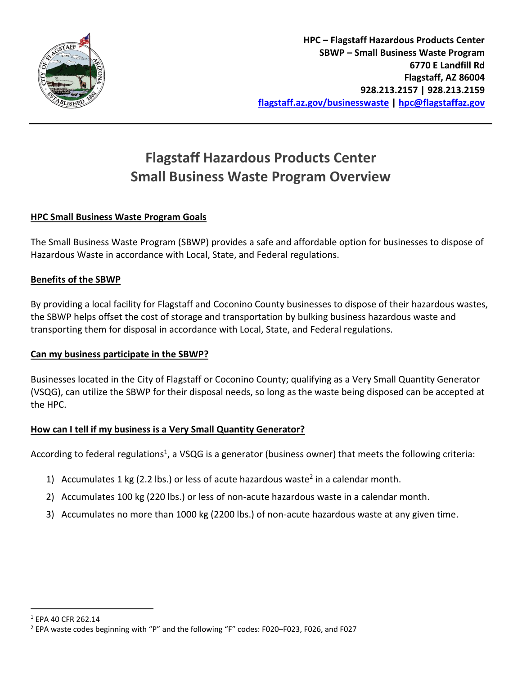

# **Flagstaff Hazardous Products Center Small Business Waste Program Overview**

### **HPC Small Business Waste Program Goals**

The Small Business Waste Program (SBWP) provides a safe and affordable option for businesses to dispose of Hazardous Waste in accordance with Local, State, and Federal regulations.

#### **Benefits of the SBWP**

By providing a local facility for Flagstaff and Coconino County businesses to dispose of their hazardous wastes, the SBWP helps offset the cost of storage and transportation by bulking business hazardous waste and transporting them for disposal in accordance with Local, State, and Federal regulations.

#### **Can my business participate in the SBWP?**

Businesses located in the City of Flagstaff or Coconino County; qualifying as a Very Small Quantity Generator (VSQG), can utilize the SBWP for their disposal needs, so long as the waste being disposed can be accepted at the HPC.

#### **How can I tell if my business is a Very Small Quantity Generator?**

According to federal regulations<sup>1</sup>, a VSQG is a generator (business owner) that meets the following criteria:

- 1) Accumulates 1 kg (2.2 lbs.) or less of  $\frac{acute}{\text{hazardous waste}}^2$  in a calendar month.
- 2) Accumulates 100 kg (220 lbs.) or less of non-acute hazardous waste in a calendar month.
- 3) Accumulates no more than 1000 kg (2200 lbs.) of non-acute hazardous waste at any given time.

 $\overline{a}$ 

<sup>1</sup> EPA 40 CFR 262.14

<sup>2</sup> EPA waste codes beginning with "P" and the following "F" codes: F020–F023, F026, and F027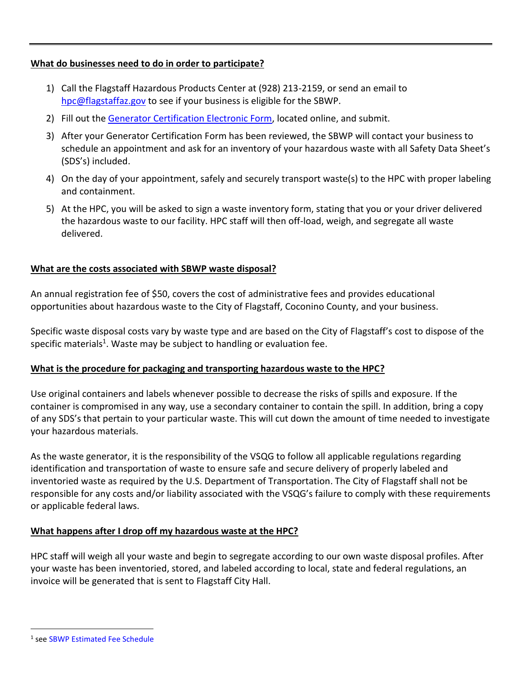#### **What do businesses need to do in order to participate?**

- 1) Call the Flagstaff Hazardous Products Center at (928) 213-2159, or send an email to [hpc@flagstaffaz.gov](mailto:hpc@flagstaffaz.gov) to see if your business is eligible for the SBWP.
- 2) Fill out the [Generator Certification Electronic Form,](http://www.flagstaff.az.gov/forms.aspx?FID=217) located online, and submit.
- 3) After your Generator Certification Form has been reviewed, the SBWP will contact your business to schedule an appointment and ask for an inventory of your hazardous waste with all Safety Data Sheet's (SDS's) included.
- 4) On the day of your appointment, safely and securely transport waste(s) to the HPC with proper labeling and containment.
- 5) At the HPC, you will be asked to sign a waste inventory form, stating that you or your driver delivered the hazardous waste to our facility. HPC staff will then off-load, weigh, and segregate all waste delivered.

#### **What are the costs associated with SBWP waste disposal?**

An annual registration fee of \$50, covers the cost of administrative fees and provides educational opportunities about hazardous waste to the City of Flagstaff, Coconino County, and your business.

Specific waste disposal costs vary by waste type and are based on the City of Flagstaff's cost to dispose of the specific materials<sup>1</sup>. Waste may be subject to handling or evaluation fee.

#### **What is the procedure for packaging and transporting hazardous waste to the HPC?**

Use original containers and labels whenever possible to decrease the risks of spills and exposure. If the container is compromised in any way, use a secondary container to contain the spill. In addition, bring a copy of any SDS's that pertain to your particular waste. This will cut down the amount of time needed to investigate your hazardous materials.

As the waste generator, it is the responsibility of the VSQG to follow all applicable regulations regarding identification and transportation of waste to ensure safe and secure delivery of properly labeled and inventoried waste as required by the U.S. Department of Transportation. The City of Flagstaff shall not be responsible for any costs and/or liability associated with the VSQG's failure to comply with these requirements or applicable federal laws.

#### **What happens after I drop off my hazardous waste at the HPC?**

HPC staff will weigh all your waste and begin to segregate according to our own waste disposal profiles. After your waste has been inventoried, stored, and labeled according to local, state and federal regulations, an invoice will be generated that is sent to Flagstaff City Hall.

 $\overline{a}$ 

<sup>1</sup> se[e SBWP Estimated Fee Schedule](http://www.flagstaff.az.gov/DocumentCenter/View/55755)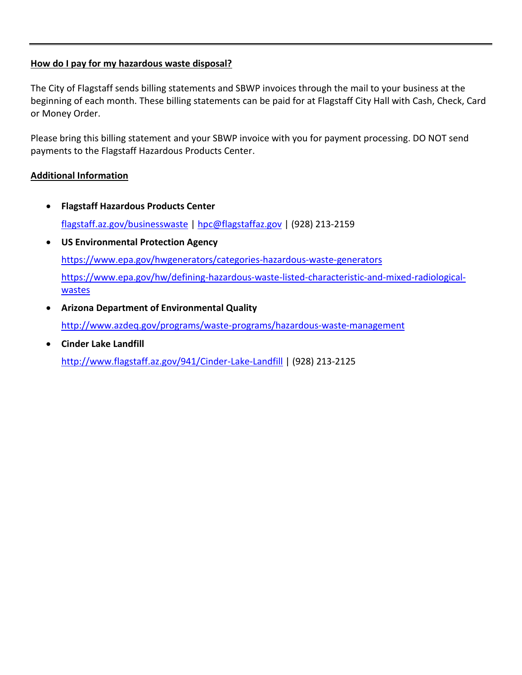#### **How do I pay for my hazardous waste disposal?**

The City of Flagstaff sends billing statements and SBWP invoices through the mail to your business at the beginning of each month. These billing statements can be paid for at Flagstaff City Hall with Cash, Check, Card or Money Order.

Please bring this billing statement and your SBWP invoice with you for payment processing. DO NOT send payments to the Flagstaff Hazardous Products Center.

#### **Additional Information**

- **Flagstaff Hazardous Products Center** [flagstaff.az.gov/businesswaste](file:///C:/Users/nsandoval/AppData/Roaming/Microsoft/Word/flagstaff.az.gov/businesswaste) | [hpc@flagstaffaz.gov](mailto:hpc@flagstaffaz.gov) | (928) 213-2159
- **US Environmental Protection Agency** <https://www.epa.gov/hwgenerators/categories-hazardous-waste-generators> [https://www.epa.gov/hw/defining-hazardous-waste-listed-characteristic-and-mixed-radiological](https://www.epa.gov/hw/defining-hazardous-waste-listed-characteristic-and-mixed-radiological-wastes)[wastes](https://www.epa.gov/hw/defining-hazardous-waste-listed-characteristic-and-mixed-radiological-wastes)
- **Arizona Department of Environmental Quality** <http://www.azdeq.gov/programs/waste-programs/hazardous-waste-management>
- **Cinder Lake Landfill** <http://www.flagstaff.az.gov/941/Cinder-Lake-Landfill> | (928) 213-2125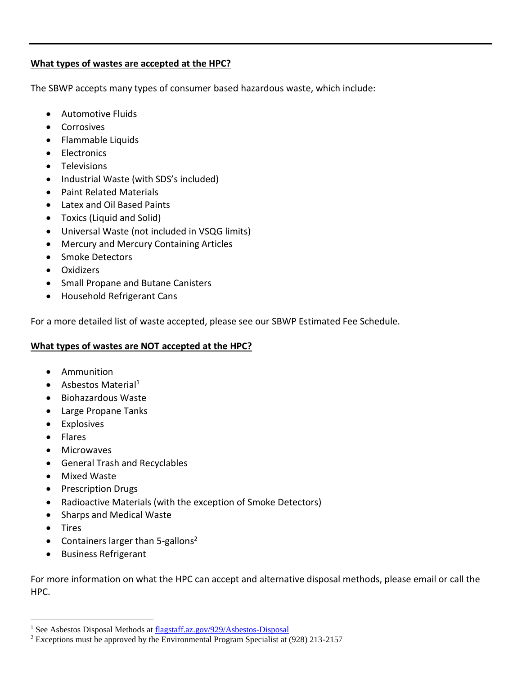#### **What types of wastes are accepted at the HPC?**

The SBWP accepts many types of consumer based hazardous waste, which include:

- Automotive Fluids
- **•** Corrosives
- Flammable Liquids
- **•** Electronics
- **•** Televisions
- Industrial Waste (with SDS's included)
- Paint Related Materials
- Latex and Oil Based Paints
- Toxics (Liquid and Solid)
- Universal Waste (not included in VSQG limits)
- Mercury and Mercury Containing Articles
- Smoke Detectors
- Oxidizers
- **•** Small Propane and Butane Canisters
- Household Refrigerant Cans

For a more detailed list of waste accepted, please see our SBWP Estimated Fee Schedule.

#### **What types of wastes are NOT accepted at the HPC?**

- **•** Ammunition
- $\bullet$  Asbestos Material<sup>1</sup>
- Biohazardous Waste
- Large Propane Tanks
- **•** Explosives
- Flares
- Microwaves
- General Trash and Recyclables
- Mixed Waste
- Prescription Drugs
- Radioactive Materials (with the exception of Smoke Detectors)
- Sharps and Medical Waste
- Tires

 $\overline{a}$ 

- Containers larger than 5-gallons<sup>2</sup>
- **•** Business Refrigerant

For more information on what the HPC can accept and alternative disposal methods, please email or call the HPC.

<sup>&</sup>lt;sup>1</sup> See Asbestos Disposal Methods at [flagstaff.az.gov/929/Asbestos-Disposal](http://www.flagstaff.az.gov/929/Asbestos-Disposal)

<sup>2</sup> Exceptions must be approved by the Environmental Program Specialist at (928) 213-2157